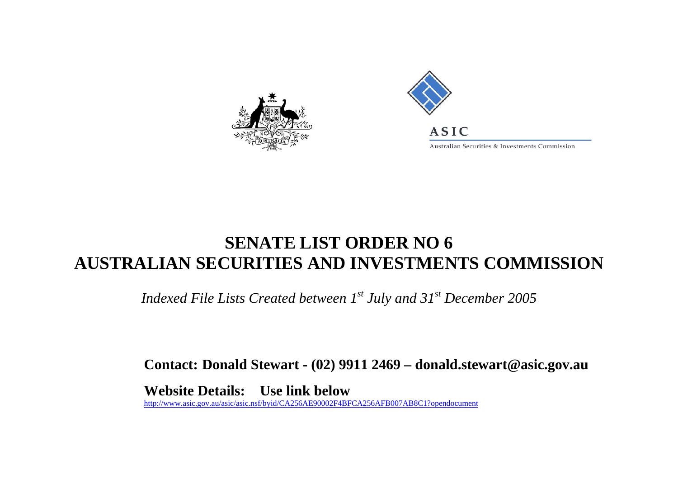



## **SENATE LIST ORDER NO 6 AUSTRALIAN SECURITIES AND INVESTMENTS COMMISSION**

*Indexed File Lists Created between 1st July and 31st December 2005* 

**Contact: Donald Stewart - (02) 9911 2469 – donald.stewart@asic.gov.au** 

**Website Details: Use link below**  [http://www.asic.gov.au/asic/asic.nsf/byid/CA256AE90002F4](http://www.asic.gov.au/asic/asic.nsf/byid/CA256AE90002F4BFCA256AFB007AB8C1?opendocument) BFCA256AFB007AB8 C1?opendocu ment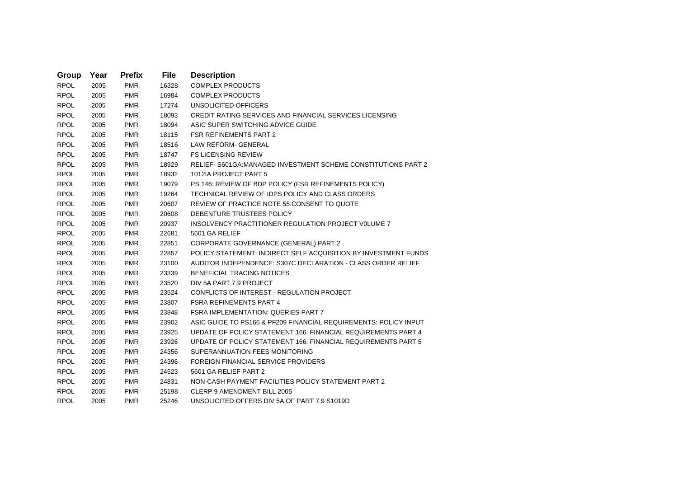| Group       | Year | <b>Prefix</b> | <b>File</b> | <b>Description</b>                                               |
|-------------|------|---------------|-------------|------------------------------------------------------------------|
| <b>RPOL</b> | 2005 | <b>PMR</b>    | 16328       | <b>COMPLEX PRODUCTS</b>                                          |
| <b>RPOL</b> | 2005 | <b>PMR</b>    | 16984       | <b>COMPLEX PRODUCTS</b>                                          |
| <b>RPOL</b> | 2005 | <b>PMR</b>    | 17274       | UNSOLICITED OFFICERS                                             |
| <b>RPOL</b> | 2005 | <b>PMR</b>    | 18093       | CREDIT RATING SERVICES AND FINANCIAL SERVICES LICENSING          |
| <b>RPOL</b> | 2005 | <b>PMR</b>    | 18094       | ASIC SUPER SWITCHING ADVICE GUIDE                                |
| <b>RPOL</b> | 2005 | <b>PMR</b>    | 18115       | <b>FSR REFINEMENTS PART 2</b>                                    |
| <b>RPOL</b> | 2005 | <b>PMR</b>    | 18516       | <b>LAW REFORM- GENERAL</b>                                       |
| <b>RPOL</b> | 2005 | <b>PMR</b>    | 18747       | <b>FS LICENSING REVIEW</b>                                       |
| <b>RPOL</b> | 2005 | <b>PMR</b>    | 18929       | RELIEF- S601GA: MANAGED INVESTMENT SCHEME CONSTITUTIONS PART 2   |
| <b>RPOL</b> | 2005 | <b>PMR</b>    | 18932       | 1012IA PROJECT PART 5                                            |
| <b>RPOL</b> | 2005 | <b>PMR</b>    | 19079       | PS 146: REVIEW OF BDP POLICY (FSR REFINEMENTS POLICY)            |
| <b>RPOL</b> | 2005 | <b>PMR</b>    | 19264       | TECHNICAL REVIEW OF IDPS POLICY AND CLASS ORDERS                 |
| <b>RPOL</b> | 2005 | <b>PMR</b>    | 20607       | REVIEW OF PRACTICE NOTE 55: CONSENT TO QUOTE                     |
| <b>RPOL</b> | 2005 | <b>PMR</b>    | 20608       | DEBENTURE TRUSTEES POLICY                                        |
| <b>RPOL</b> | 2005 | <b>PMR</b>    | 20937       | <b>INSOLVENCY PRACTITIONER REGULATION PROJECT VOLUME 7</b>       |
| <b>RPOL</b> | 2005 | <b>PMR</b>    | 22681       | 5601 GA RELIEF                                                   |
| <b>RPOL</b> | 2005 | <b>PMR</b>    | 22851       | CORPORATE GOVERNANCE (GENERAL) PART 2                            |
| <b>RPOL</b> | 2005 | <b>PMR</b>    | 22857       | POLICY STATEMENT: INDIRECT SELF ACQUISITION BY INVESTMENT FUNDS  |
| <b>RPOL</b> | 2005 | <b>PMR</b>    | 23100       | AUDITOR INDEPENDENCE: S307C DECLARATION - CLASS ORDER RELIEF     |
| <b>RPOL</b> | 2005 | <b>PMR</b>    | 23339       | <b>BENEFICIAL TRACING NOTICES</b>                                |
| <b>RPOL</b> | 2005 | <b>PMR</b>    | 23520       | DIV 5A PART 7.9 PROJECT                                          |
| <b>RPOL</b> | 2005 | <b>PMR</b>    | 23524       | CONFLICTS OF INTEREST - REGULATION PROJECT                       |
| <b>RPOL</b> | 2005 | <b>PMR</b>    | 23807       | <b>FSRA REFINEMENTS PART 4</b>                                   |
| <b>RPOL</b> | 2005 | <b>PMR</b>    | 23848       | <b>FSRA IMPLEMENTATION: QUERIES PART 7</b>                       |
| <b>RPOL</b> | 2005 | <b>PMR</b>    | 23902       | ASIC GUIDE TO PS166 & PF209 FINANCIAL REQUIREMENTS: POLICY INPUT |
| <b>RPOL</b> | 2005 | <b>PMR</b>    | 23925       | UPDATE OF POLICY STATEMENT 166: FINANCIAL REQUIREMENTS PART 4    |
| <b>RPOL</b> | 2005 | <b>PMR</b>    | 23926       | UPDATE OF POLICY STATEMENT 166: FINANCIAL REQUIREMENTS PART 5    |
| <b>RPOL</b> | 2005 | <b>PMR</b>    | 24356       | SUPERANNUATION FEES MONITORING                                   |
| <b>RPOL</b> | 2005 | <b>PMR</b>    | 24396       | FOREIGN FINANCIAL SERVICE PROVIDERS                              |
| <b>RPOL</b> | 2005 | <b>PMR</b>    | 24523       | 5601 GA RELIEF PART 2                                            |
| <b>RPOL</b> | 2005 | <b>PMR</b>    | 24831       | NON-CASH PAYMENT FACILITIES POLICY STATEMENT PART 2              |
| <b>RPOL</b> | 2005 | <b>PMR</b>    | 25198       | <b>CLERP 9 AMENDMENT BILL 2005</b>                               |
| <b>RPOL</b> | 2005 | <b>PMR</b>    | 25246       | UNSOLICITED OFFERS DIV 5A OF PART 7.9 S1019D                     |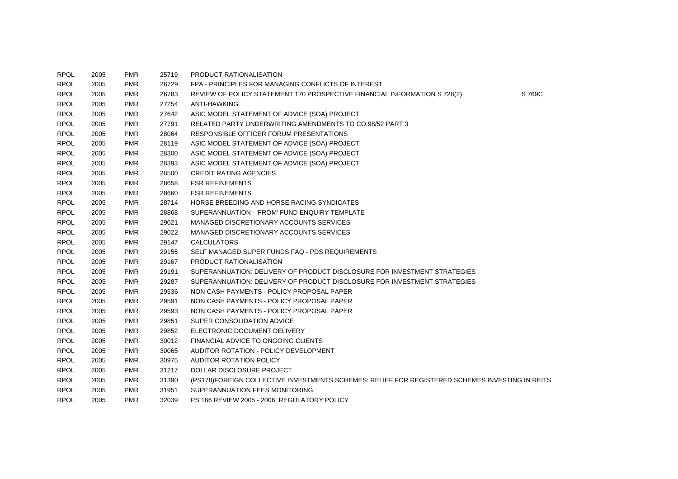| <b>RPOL</b> | 2005 | <b>PMR</b> | 25719 | PRODUCT RATIONALISATION                                                                         |        |
|-------------|------|------------|-------|-------------------------------------------------------------------------------------------------|--------|
| <b>RPOL</b> | 2005 | <b>PMR</b> | 26729 | FPA - PRINCIPLES FOR MANAGING CONFLICTS OF INTEREST                                             |        |
| <b>RPOL</b> | 2005 | <b>PMR</b> | 26783 | REVIEW OF POLICY STATEMENT 170 PROSPECTIVE FINANCIAL INFORMATION S 728(2)                       | S 769C |
| <b>RPOL</b> | 2005 | <b>PMR</b> | 27254 | <b>ANTI-HAWKING</b>                                                                             |        |
| <b>RPOL</b> | 2005 | <b>PMR</b> | 27642 | ASIC MODEL STATEMENT OF ADVICE (SOA) PROJECT                                                    |        |
| <b>RPOL</b> | 2005 | <b>PMR</b> | 27791 | RELATED PARTY UNDERWRITING AMENDMENTS TO CO 98/52 PART 3                                        |        |
| <b>RPOL</b> | 2005 | <b>PMR</b> | 28064 | RESPONSIBLE OFFICER FORUM PRESENTATIONS                                                         |        |
| <b>RPOL</b> | 2005 | <b>PMR</b> | 28119 | ASIC MODEL STATEMENT OF ADVICE (SOA) PROJECT                                                    |        |
| <b>RPOL</b> | 2005 | <b>PMR</b> | 28300 | ASIC MODEL STATEMENT OF ADVICE (SOA) PROJECT                                                    |        |
| <b>RPOL</b> | 2005 | <b>PMR</b> | 28393 | ASIC MODEL STATEMENT OF ADVICE (SOA) PROJECT                                                    |        |
| <b>RPOL</b> | 2005 | <b>PMR</b> | 28500 | <b>CREDIT RATING AGENCIES</b>                                                                   |        |
| <b>RPOL</b> | 2005 | <b>PMR</b> | 28658 | <b>FSR REFINEMENTS</b>                                                                          |        |
| <b>RPOL</b> | 2005 | <b>PMR</b> | 28660 | <b>FSR REFINEMENTS</b>                                                                          |        |
| <b>RPOL</b> | 2005 | <b>PMR</b> | 28714 | HORSE BREEDING AND HORSE RACING SYNDICATES                                                      |        |
| <b>RPOL</b> | 2005 | <b>PMR</b> | 28868 | SUPERANNUATION - 'FROM' FUND ENQUIRY TEMPLATE                                                   |        |
| <b>RPOL</b> | 2005 | <b>PMR</b> | 29021 | MANAGED DISCRETIONARY ACCOUNTS SERVICES                                                         |        |
| <b>RPOL</b> | 2005 | <b>PMR</b> | 29022 | MANAGED DISCRETIONARY ACCOUNTS SERVICES                                                         |        |
| <b>RPOL</b> | 2005 | <b>PMR</b> | 29147 | <b>CALCULATORS</b>                                                                              |        |
| <b>RPOL</b> | 2005 | <b>PMR</b> | 29155 | SELF MANAGED SUPER FUNDS FAQ - PDS REQUIREMENTS                                                 |        |
| <b>RPOL</b> | 2005 | <b>PMR</b> | 29167 | PRODUCT RATIONALISATION                                                                         |        |
| <b>RPOL</b> | 2005 | <b>PMR</b> | 29191 | SUPERANNUATION: DELIVERY OF PRODUCT DISCLOSURE FOR INVESTMENT STRATEGIES                        |        |
| <b>RPOL</b> | 2005 | <b>PMR</b> | 29287 | SUPERANNUATION: DELIVERY OF PRODUCT DISCLOSURE FOR INVESTMENT STRATEGIES                        |        |
| <b>RPOL</b> | 2005 | <b>PMR</b> | 29536 | NON CASH PAYMENTS - POLICY PROPOSAL PAPER                                                       |        |
| <b>RPOL</b> | 2005 | <b>PMR</b> | 29591 | NON CASH PAYMENTS - POLICY PROPOSAL PAPER                                                       |        |
| <b>RPOL</b> | 2005 | <b>PMR</b> | 29593 | NON CASH PAYMENTS - POLICY PROPOSAL PAPER                                                       |        |
| <b>RPOL</b> | 2005 | <b>PMR</b> | 29851 | SUPER CONSOLIDATION ADVICE                                                                      |        |
| <b>RPOL</b> | 2005 | <b>PMR</b> | 29852 | ELECTRONIC DOCUMENT DELIVERY                                                                    |        |
| <b>RPOL</b> | 2005 | <b>PMR</b> | 30012 | FINANCIAL ADVICE TO ONGOING CLIENTS                                                             |        |
| <b>RPOL</b> | 2005 | <b>PMR</b> | 30065 | AUDITOR ROTATION - POLICY DEVELOPMENT                                                           |        |
| <b>RPOL</b> | 2005 | <b>PMR</b> | 30975 | <b>AUDITOR ROTATION POLICY</b>                                                                  |        |
| <b>RPOL</b> | 2005 | <b>PMR</b> | 31217 | DOLLAR DISCLOSURE PROJECT                                                                       |        |
| <b>RPOL</b> | 2005 | <b>PMR</b> | 31390 | (PS178)FOREIGN COLLECTIVE INVESTMENTS SCHEMES: RELIEF FOR REGISTERED SCHEMES INVESTING IN REITS |        |
| <b>RPOL</b> | 2005 | <b>PMR</b> | 31951 | SUPERANNUATION FEES MONITORING                                                                  |        |
| <b>RPOL</b> | 2005 | <b>PMR</b> | 32039 | PS 166 REVIEW 2005 - 2006: REGULATORY POLICY                                                    |        |